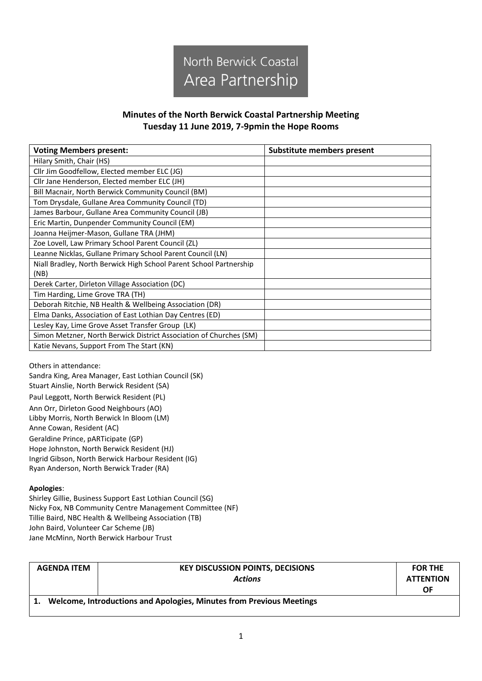

## **Minutes of the North Berwick Coastal Partnership Meeting Tuesday 11 June 2019, 7-9pmin the Hope Rooms**

| <b>Voting Members present:</b>                                     | Substitute members present |
|--------------------------------------------------------------------|----------------------------|
| Hilary Smith, Chair (HS)                                           |                            |
| Cllr Jim Goodfellow, Elected member ELC (JG)                       |                            |
| Cllr Jane Henderson, Elected member ELC (JH)                       |                            |
| Bill Macnair, North Berwick Community Council (BM)                 |                            |
| Tom Drysdale, Gullane Area Community Council (TD)                  |                            |
| James Barbour, Gullane Area Community Council (JB)                 |                            |
| Eric Martin, Dunpender Community Council (EM)                      |                            |
| Joanna Heijmer-Mason, Gullane TRA (JHM)                            |                            |
| Zoe Lovell, Law Primary School Parent Council (ZL)                 |                            |
| Leanne Nicklas, Gullane Primary School Parent Council (LN)         |                            |
| Niall Bradley, North Berwick High School Parent School Partnership |                            |
| (NB)                                                               |                            |
| Derek Carter, Dirleton Village Association (DC)                    |                            |
| Tim Harding, Lime Grove TRA (TH)                                   |                            |
| Deborah Ritchie, NB Health & Wellbeing Association (DR)            |                            |
| Elma Danks, Association of East Lothian Day Centres (ED)           |                            |
| Lesley Kay, Lime Grove Asset Transfer Group (LK)                   |                            |
| Simon Metzner, North Berwick District Association of Churches (SM) |                            |
| Katie Nevans, Support From The Start (KN)                          |                            |

Others in attendance:

Sandra King, Area Manager, East Lothian Council (SK) Stuart Ainslie, North Berwick Resident (SA) Paul Leggott, North Berwick Resident (PL) Ann Orr, Dirleton Good Neighbours (AO) Libby Morris, North Berwick In Bloom (LM) Anne Cowan, Resident (AC) Geraldine Prince, pARTicipate (GP) Hope Johnston, North Berwick Resident (HJ) Ingrid Gibson, North Berwick Harbour Resident (IG) Ryan Anderson, North Berwick Trader (RA)

## **Apologies**:

Shirley Gillie, Business Support East Lothian Council (SG) Nicky Fox, NB Community Centre Management Committee (NF) Tillie Baird, NBC Health & Wellbeing Association (TB) John Baird, Volunteer Car Scheme (JB) Jane McMinn, North Berwick Harbour Trust

| <b>AGENDA ITEM</b>                                                   | <b>KEY DISCUSSION POINTS, DECISIONS</b><br><b>Actions</b> | <b>FOR THE</b><br><b>ATTENTION</b><br>ΟF |  |
|----------------------------------------------------------------------|-----------------------------------------------------------|------------------------------------------|--|
| Welcome, Introductions and Apologies, Minutes from Previous Meetings |                                                           |                                          |  |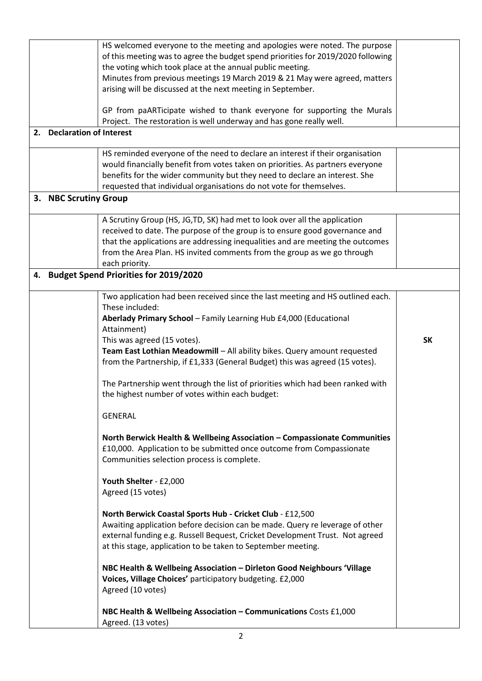|    |                                | HS welcomed everyone to the meeting and apologies were noted. The purpose              |           |
|----|--------------------------------|----------------------------------------------------------------------------------------|-----------|
|    |                                | of this meeting was to agree the budget spend priorities for 2019/2020 following       |           |
|    |                                | the voting which took place at the annual public meeting.                              |           |
|    |                                | Minutes from previous meetings 19 March 2019 & 21 May were agreed, matters             |           |
|    |                                | arising will be discussed at the next meeting in September.                            |           |
|    |                                | GP from paARTicipate wished to thank everyone for supporting the Murals                |           |
|    |                                | Project. The restoration is well underway and has gone really well.                    |           |
| 2. | <b>Declaration of Interest</b> |                                                                                        |           |
|    |                                | HS reminded everyone of the need to declare an interest if their organisation          |           |
|    |                                | would financially benefit from votes taken on priorities. As partners everyone         |           |
|    |                                | benefits for the wider community but they need to declare an interest. She             |           |
|    |                                | requested that individual organisations do not vote for themselves.                    |           |
|    | 3. NBC Scrutiny Group          |                                                                                        |           |
|    |                                | A Scrutiny Group (HS, JG, TD, SK) had met to look over all the application             |           |
|    |                                | received to date. The purpose of the group is to ensure good governance and            |           |
|    |                                | that the applications are addressing inequalities and are meeting the outcomes         |           |
|    |                                | from the Area Plan. HS invited comments from the group as we go through                |           |
|    |                                | each priority.                                                                         |           |
|    |                                |                                                                                        |           |
|    |                                | 4. Budget Spend Priorities for 2019/2020                                               |           |
|    |                                | Two application had been received since the last meeting and HS outlined each.         |           |
|    |                                | These included:                                                                        |           |
|    |                                | Aberlady Primary School - Family Learning Hub £4,000 (Educational                      |           |
|    |                                | Attainment)                                                                            |           |
|    |                                | This was agreed (15 votes).                                                            | <b>SK</b> |
|    |                                | Team East Lothian Meadowmill - All ability bikes. Query amount requested               |           |
|    |                                | from the Partnership, if £1,333 (General Budget) this was agreed (15 votes).           |           |
|    |                                | The Partnership went through the list of priorities which had been ranked with         |           |
|    |                                | the highest number of votes within each budget:                                        |           |
|    |                                |                                                                                        |           |
|    |                                | <b>GENERAL</b>                                                                         |           |
|    |                                | North Berwick Health & Wellbeing Association - Compassionate Communities               |           |
|    |                                | £10,000. Application to be submitted once outcome from Compassionate                   |           |
|    |                                | Communities selection process is complete.                                             |           |
|    |                                | Youth Shelter - £2,000                                                                 |           |
|    |                                | Agreed (15 votes)                                                                      |           |
|    |                                |                                                                                        |           |
|    |                                | North Berwick Coastal Sports Hub - Cricket Club - £12,500                              |           |
|    |                                | Awaiting application before decision can be made. Query re leverage of other           |           |
|    |                                | external funding e.g. Russell Bequest, Cricket Development Trust. Not agreed           |           |
|    |                                | at this stage, application to be taken to September meeting.                           |           |
|    |                                | NBC Health & Wellbeing Association - Dirleton Good Neighbours 'Village                 |           |
|    |                                | Voices, Village Choices' participatory budgeting. £2,000                               |           |
|    |                                | Agreed (10 votes)                                                                      |           |
|    |                                |                                                                                        |           |
|    |                                | NBC Health & Wellbeing Association - Communications Costs £1,000<br>Agreed. (13 votes) |           |
|    |                                |                                                                                        |           |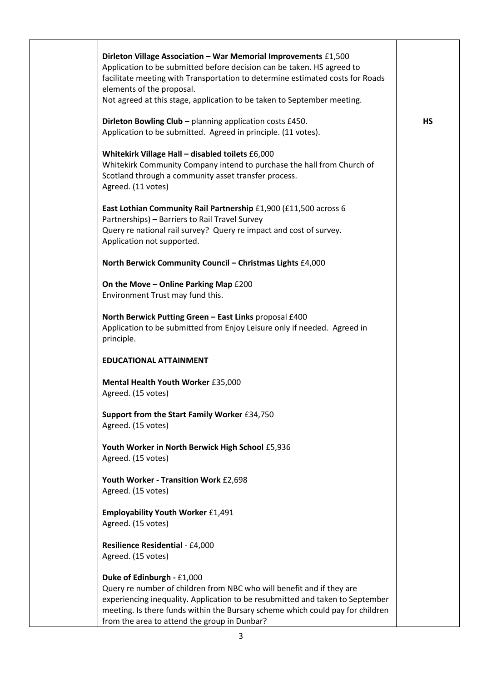| Dirleton Village Association - War Memorial Improvements £1,500<br>Application to be submitted before decision can be taken. HS agreed to<br>facilitate meeting with Transportation to determine estimated costs for Roads |           |
|----------------------------------------------------------------------------------------------------------------------------------------------------------------------------------------------------------------------------|-----------|
| elements of the proposal.<br>Not agreed at this stage, application to be taken to September meeting.                                                                                                                       |           |
| Dirleton Bowling Club - planning application costs £450.                                                                                                                                                                   | <b>HS</b> |
| Application to be submitted. Agreed in principle. (11 votes).                                                                                                                                                              |           |
| Whitekirk Village Hall - disabled toilets £6,000<br>Whitekirk Community Company intend to purchase the hall from Church of<br>Scotland through a community asset transfer process.<br>Agreed. (11 votes)                   |           |
| East Lothian Community Rail Partnership £1,900 (£11,500 across 6<br>Partnerships) - Barriers to Rail Travel Survey<br>Query re national rail survey? Query re impact and cost of survey.<br>Application not supported.     |           |
| North Berwick Community Council - Christmas Lights £4,000                                                                                                                                                                  |           |
| On the Move - Online Parking Map £200<br>Environment Trust may fund this.                                                                                                                                                  |           |
| North Berwick Putting Green - East Links proposal £400<br>Application to be submitted from Enjoy Leisure only if needed. Agreed in<br>principle.                                                                           |           |
| <b>EDUCATIONAL ATTAINMENT</b>                                                                                                                                                                                              |           |
| Mental Health Youth Worker £35,000<br>Agreed. (15 votes)                                                                                                                                                                   |           |
| Support from the Start Family Worker £34,750<br>Agreed. (15 votes)                                                                                                                                                         |           |
| Youth Worker in North Berwick High School £5,936<br>Agreed. (15 votes)                                                                                                                                                     |           |
| Youth Worker - Transition Work £2,698<br>Agreed. (15 votes)                                                                                                                                                                |           |
| <b>Employability Youth Worker £1,491</b><br>Agreed. (15 votes)                                                                                                                                                             |           |
| Resilience Residential - £4,000<br>Agreed. (15 votes)                                                                                                                                                                      |           |
| Duke of Edinburgh - £1,000                                                                                                                                                                                                 |           |
| Query re number of children from NBC who will benefit and if they are<br>experiencing inequality. Application to be resubmitted and taken to September                                                                     |           |
| meeting. Is there funds within the Bursary scheme which could pay for children<br>from the area to attend the group in Dunbar?                                                                                             |           |

Τ

T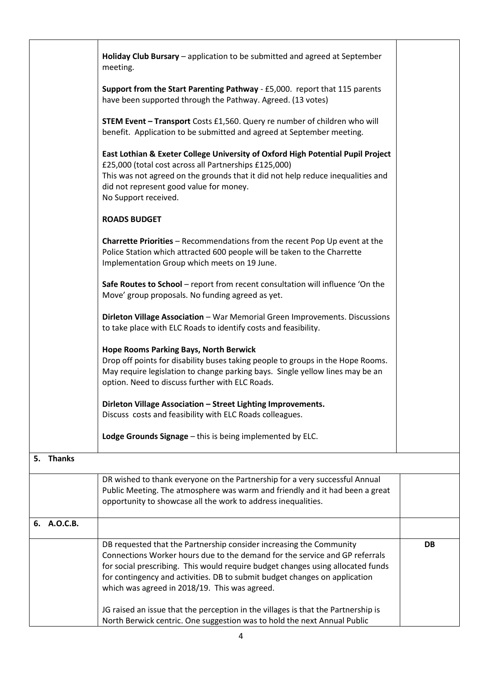|                     | Holiday Club Bursary - application to be submitted and agreed at September<br>meeting.                                                                                                                                                                                                                                                                               |    |
|---------------------|----------------------------------------------------------------------------------------------------------------------------------------------------------------------------------------------------------------------------------------------------------------------------------------------------------------------------------------------------------------------|----|
|                     | Support from the Start Parenting Pathway - £5,000. report that 115 parents<br>have been supported through the Pathway. Agreed. (13 votes)                                                                                                                                                                                                                            |    |
|                     | <b>STEM Event - Transport</b> Costs £1,560. Query re number of children who will<br>benefit. Application to be submitted and agreed at September meeting.                                                                                                                                                                                                            |    |
|                     | East Lothian & Exeter College University of Oxford High Potential Pupil Project<br>£25,000 (total cost across all Partnerships £125,000)<br>This was not agreed on the grounds that it did not help reduce inequalities and<br>did not represent good value for money.<br>No Support received.                                                                       |    |
|                     | <b>ROADS BUDGET</b>                                                                                                                                                                                                                                                                                                                                                  |    |
|                     | <b>Charrette Priorities</b> - Recommendations from the recent Pop Up event at the<br>Police Station which attracted 600 people will be taken to the Charrette<br>Implementation Group which meets on 19 June.                                                                                                                                                        |    |
|                     | Safe Routes to School - report from recent consultation will influence 'On the<br>Move' group proposals. No funding agreed as yet.                                                                                                                                                                                                                                   |    |
|                     | Dirleton Village Association - War Memorial Green Improvements. Discussions<br>to take place with ELC Roads to identify costs and feasibility.                                                                                                                                                                                                                       |    |
|                     | <b>Hope Rooms Parking Bays, North Berwick</b><br>Drop off points for disability buses taking people to groups in the Hope Rooms.<br>May require legislation to change parking bays. Single yellow lines may be an<br>option. Need to discuss further with ELC Roads.                                                                                                 |    |
|                     | Dirleton Village Association - Street Lighting Improvements.<br>Discuss costs and feasibility with ELC Roads colleagues.                                                                                                                                                                                                                                             |    |
|                     | Lodge Grounds Signage - this is being implemented by ELC.                                                                                                                                                                                                                                                                                                            |    |
| <b>Thanks</b><br>5. |                                                                                                                                                                                                                                                                                                                                                                      |    |
|                     | DR wished to thank everyone on the Partnership for a very successful Annual<br>Public Meeting. The atmosphere was warm and friendly and it had been a great<br>opportunity to showcase all the work to address inequalities.                                                                                                                                         |    |
| 6. A.O.C.B.         |                                                                                                                                                                                                                                                                                                                                                                      |    |
|                     | DB requested that the Partnership consider increasing the Community<br>Connections Worker hours due to the demand for the service and GP referrals<br>for social prescribing. This would require budget changes using allocated funds<br>for contingency and activities. DB to submit budget changes on application<br>which was agreed in 2018/19. This was agreed. | DB |
|                     | JG raised an issue that the perception in the villages is that the Partnership is<br>North Berwick centric. One suggestion was to hold the next Annual Public                                                                                                                                                                                                        |    |